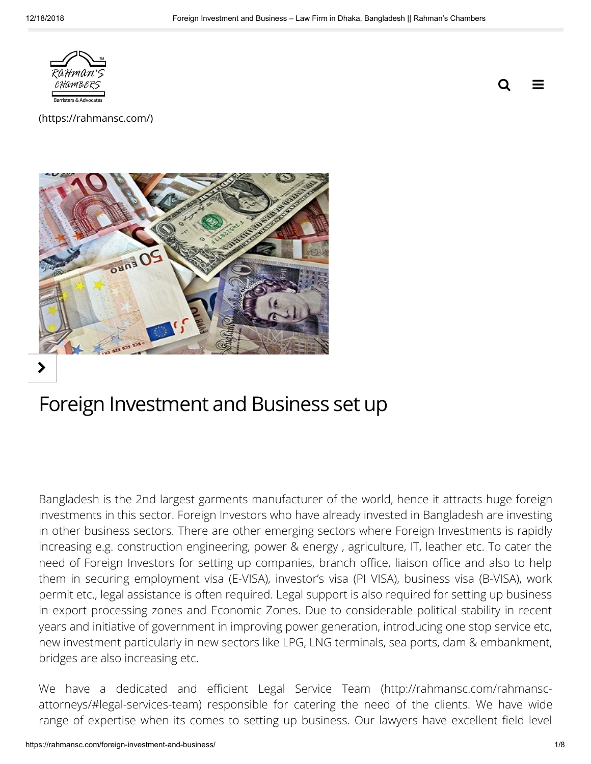

 $\equiv$ Q

[\(https://rahmansc.com/\)](https://rahmansc.com/)



# Foreign Investment and Business set up

Bangladesh is the 2nd largest garments manufacturer of the world, hence it attracts huge foreign investments in this sector. Foreign Investors who have already invested in Bangladesh are investing in other business sectors. There are other emerging sectors where Foreign Investments is rapidly increasing e.g. construction engineering, power & energy , agriculture, IT, leather etc. To cater the need of Foreign Investors for setting up companies, branch office, liaison office and also to help them in securing employment visa (E-VISA), investor's visa (PI VISA), business visa (B-VISA), work permit etc., legal assistance is often required. Legal support is also required for setting up business in export processing zones and Economic Zones. Due to considerable political stability in recent years and initiative of government in improving power generation, introducing one stop service etc, new investment particularly in new sectors like LPG, LNG terminals, sea ports, dam & embankment, bridges are also increasing etc.

We have a dedicated and efficient Legal Service Team (http://rahmansc.com/rahmanscattorneys/#legal-services-team) responsible for catering the need of the clients. We have wide range of expertise when its comes to setting up business. Our lawyers have excellent field level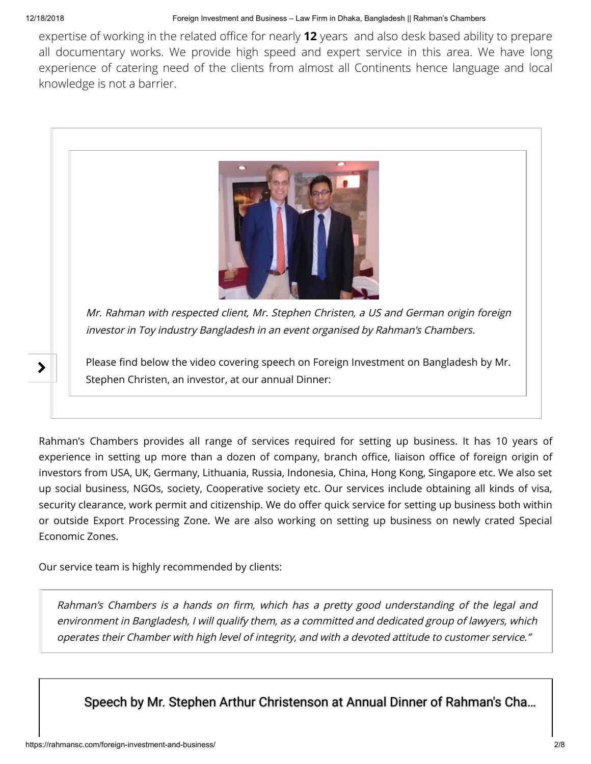≯

expertise of working in the related office for nearly 12 years and also desk based ability to prepare all documentary works. We provide high speed and expert service in this area. We have long experience of catering need of the clients from almost all Continents hence language and local knowledge is not a barrier.



Mr. Rahman with respected client, Mr. Stephen Christen, a US and German origin foreign investor in Toy industry Bangladesh in an event organised by Rahman's Chambers.

Please find below the video covering speech on Foreign Investment on Bangladesh by Mr. Stephen Christen, an investor, at our annual Dinner:

Rahman's Chambers provides all range of services required for setting up business. It has 10 years of experience in setting up more than a dozen of company, branch office, liaison office of foreign origin of investors from USA, UK, Germany, Lithuania, Russia, Indonesia, China, Hong Kong, Singapore etc. We also set up social business, NGOs, society, Cooperative society etc. Our services include obtaining all kinds of visa, security clearance, work permit and citizenship. We do offer quick service for setting up business both within or outside Export Processing Zone. We are also working on setting up business on newly crated Special Economic Zones.

Our service team is highly recommended by clients:

Rahman's Chambers is a hands on firm, which has a pretty good understanding of the legal and environment in Bangladesh, I will qualify them, as a committed and dedicated group of lawyers, which operates their Chamber with high level of integrity, and with a devoted attitude to customer service."

Speech by Mr. Stephen Arthur Christenson at Annual Dinner of Rahman's Cha...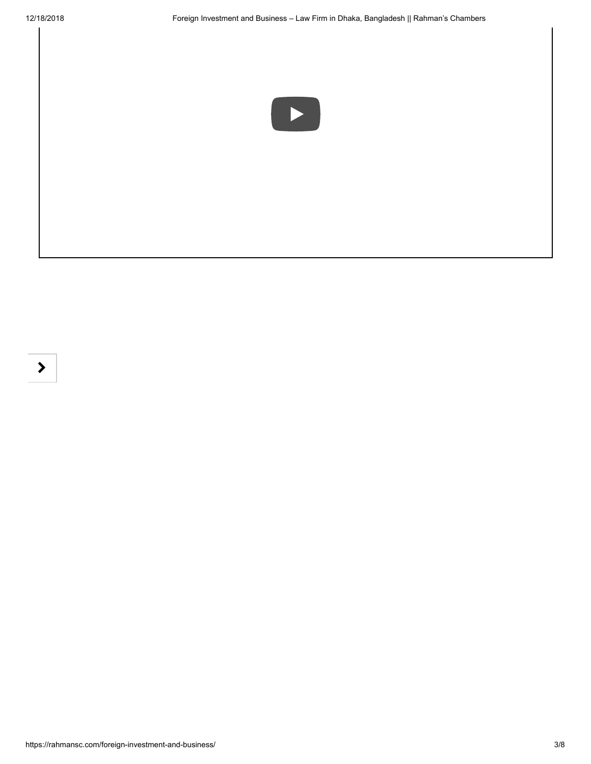

 $\rightarrow$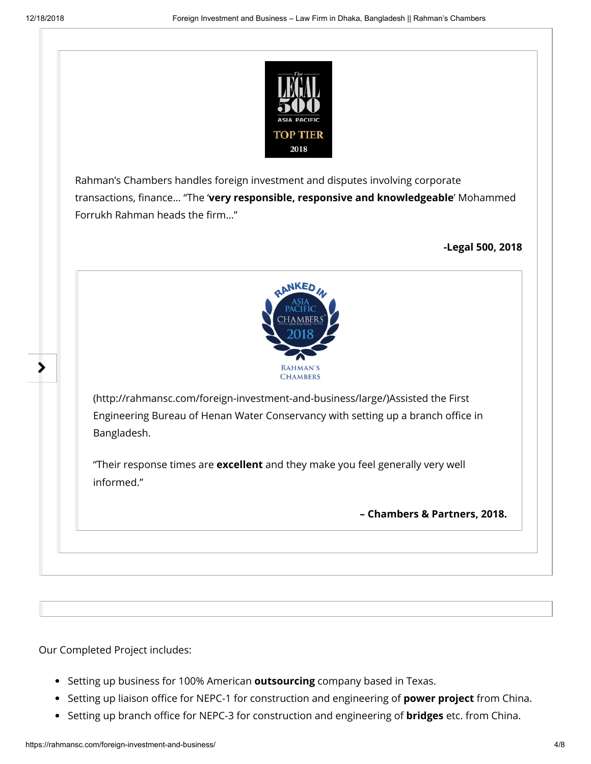≯



Rahman's Chambers handles foreign investment and disputes involving corporate transactions, finance... "The 'very responsible, responsive and knowledgeable' Mohammed Forrukh Rahman heads the firm..."

-Legal 500, 2018



[\(http://rahmansc.com/foreign-investment-and-business/large/\)](http://rahmansc.com/foreign-investment-and-business/large/)Assisted the First Engineering Bureau of Henan Water Conservancy with setting up a branch office in Bangladesh.

"Their response times are excellent and they make you feel generally very well informed."

– Chambers & Partners, 2018.

Our Completed Project includes:

- Setting up business for 100% American outsourcing company based in Texas.
- Setting up liaison office for NEPC-1 for construction and engineering of power project from China.
- Setting up branch office for NEPC-3 for construction and engineering of **bridges** etc. from China.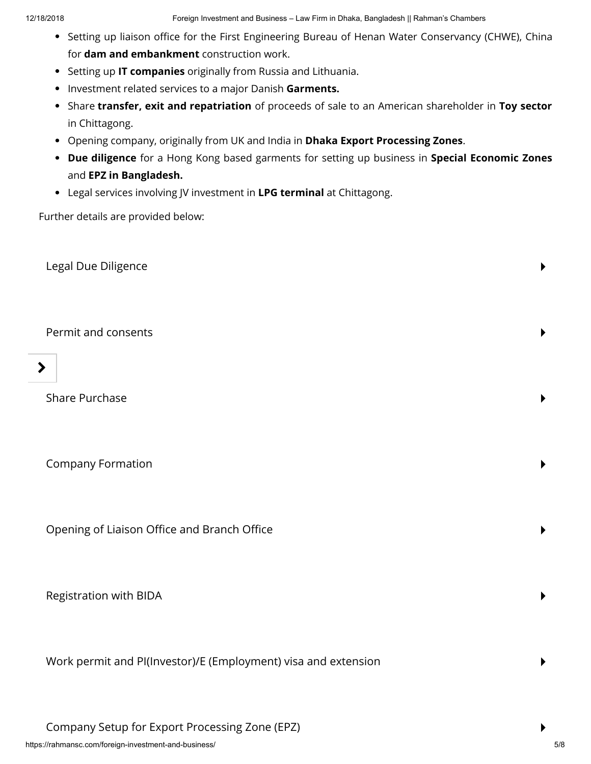- Setting up liaison office for the First Engineering Bureau of Henan Water Conservancy (CHWE), China for dam and embankment construction work.
- Setting up IT companies originally from Russia and Lithuania.
- Investment related services to a major Danish Garments.
- Share transfer, exit and repatriation of proceeds of sale to an American shareholder in Toy sector in Chittagong.
- Opening company, originally from UK and India in Dhaka Export Processing Zones.
- Due diligence for a Hong Kong based garments for setting up business in Special Economic Zones and EPZ in Bangladesh.
- Legal services involving JV investment in LPG terminal at Chittagong.

Further details are provided below:

Legal Due Diligence Permit and consents Share Purchase Company Formation Opening of Liaison Office and Branch Office Registration with BIDA Work permit and PI(Investor)/E (Employment) visa and extension ゝ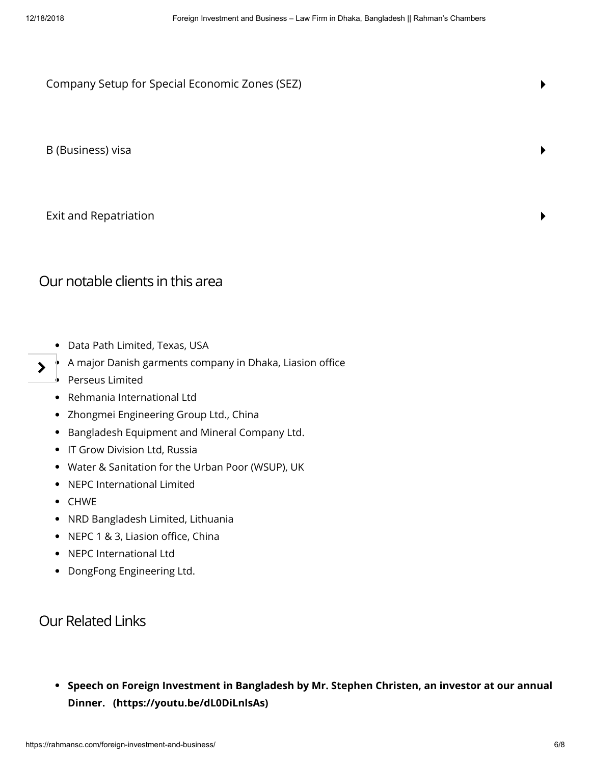| Company Setup for Special Economic Zones (SEZ) |
|------------------------------------------------|
|                                                |
| B (Business) visa                              |
|                                                |
|                                                |
| <b>Exit and Repatriation</b>                   |

## Our notable clients in this area

- Data Path Limited, Texas, USA
- $\blacktriangleright$   $^*$  A major Danish garments company in Dhaka, Liasion office
	- Perseus Limited
	- Rehmania International Ltd
	- Zhongmei Engineering Group Ltd., China
	- Bangladesh Equipment and Mineral Company Ltd.
	- IT Grow Division Ltd, Russia
	- Water & Sanitation for the Urban Poor (WSUP), UK
	- NEPC International Limited
	- CHWE
	- NRD Bangladesh Limited, Lithuania
	- NEPC 1 & 3, Liasion office, China
	- NEPC International Ltd
	- DongFong Engineering Ltd.

## Our Related Links

• [Speech on Foreign Investment in Bangladesh by Mr. Stephen Christen, an investor at our annual](https://youtu.be/dL0DiLnlsAs) Dinner. (https://youtu.be/dL0DiLnlsAs)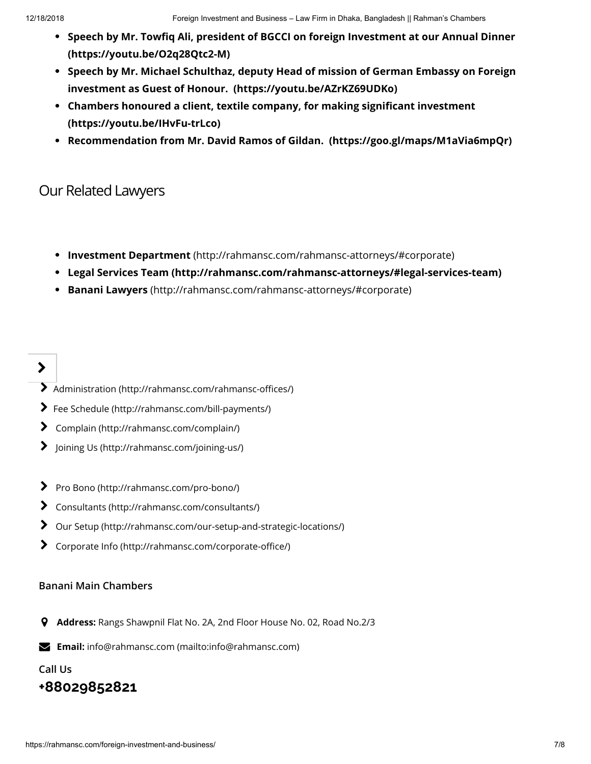- Speech by Mr. Towfiq Ali, president of BGCCI on foreign Investment at our Annual Dinner (https://youtu.be/O2q28Qtc2-M)
- [Speech by Mr. Michael Schulthaz, deputy Head of mission of German Embassy on Foreign](https://youtu.be/AZrKZ69UDKo) investment as Guest of Honour. (https://youtu.be/AZrKZ69UDKo)
- Chambers honoured a client, textile company, for making significant investment (https://youtu.be/IHvFu-trLco)
- [Recommendation from Mr. David Ramos of Gildan. \(https://goo.gl/maps/M1aVia6mpQr\)](https://goo.gl/maps/M1aVia6mpQr)

## Our Related Lawyers

- Investment Department [\(http://rahmansc.com/rahmansc-attorneys/#corporate\)](http://rahmansc.com/rahmansc-attorneys/#corporate)
- [Legal Services Team \(http://rahmansc.com/rahmansc-attorneys/#legal-services-team\)](http://rahmansc.com/rahmansc-attorneys/#legal-services-team)
- Banani Lawyers [\(http://rahmansc.com/rahmansc-attorneys/#corporate\)](http://rahmansc.com/rahmansc-attorneys/#corporate)

## ゝ

- $\blacktriangleright$  Administration (http://rahmansc.com/rahmansc-offices/)
- Fee Schedule [\(http://rahmansc.com/bill-payments/\)](http://rahmansc.com/bill-payments/)
- Complain [\(http://rahmansc.com/complain/\)](http://rahmansc.com/complain/)
- Joining Us [\(http://rahmansc.com/joining-us/\)](http://rahmansc.com/joining-us/)
- Pro Bono [\(http://rahmansc.com/pro-bono/\)](http://rahmansc.com/pro-bono/)
- Consultants [\(http://rahmansc.com/consultants/\)](http://rahmansc.com/consultants/)
- Our Setup [\(http://rahmansc.com/our-setup-and-strategic-locations/\)](http://rahmansc.com/our-setup-and-strategic-locations/)
- $\blacktriangleright$  Corporate Info (http://rahmansc.com/corporate-office/)

### Banani Main Chambers

- Address: Rangs Shawpnil Flat No. 2A, 2nd Floor House No. 02, Road No.2/3
- **Email:** info@rahmansc.com [\(mailto:info@rahmansc.com\)](mailto:info@rahmansc.com)

#### Call Us

### +88029852821